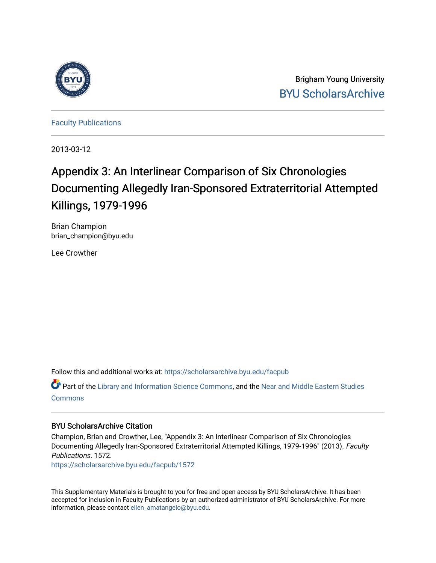

Brigham Young University [BYU ScholarsArchive](https://scholarsarchive.byu.edu/) 

[Faculty Publications](https://scholarsarchive.byu.edu/facpub)

2013-03-12

# Appendix 3: An Interlinear Comparison of Six Chronologies Documenting Allegedly Iran-Sponsored Extraterritorial Attempted Killings, 1979-1996

Brian Champion brian\_champion@byu.edu

Lee Crowther

Follow this and additional works at: [https://scholarsarchive.byu.edu/facpub](https://scholarsarchive.byu.edu/facpub?utm_source=scholarsarchive.byu.edu%2Ffacpub%2F1572&utm_medium=PDF&utm_campaign=PDFCoverPages) 

Part of the [Library and Information Science Commons,](http://network.bepress.com/hgg/discipline/1018?utm_source=scholarsarchive.byu.edu%2Ffacpub%2F1572&utm_medium=PDF&utm_campaign=PDFCoverPages) and the Near and Middle Eastern Studies [Commons](http://network.bepress.com/hgg/discipline/1308?utm_source=scholarsarchive.byu.edu%2Ffacpub%2F1572&utm_medium=PDF&utm_campaign=PDFCoverPages)

## BYU ScholarsArchive Citation

Champion, Brian and Crowther, Lee, "Appendix 3: An Interlinear Comparison of Six Chronologies Documenting Allegedly Iran-Sponsored Extraterritorial Attempted Killings, 1979-1996" (2013). Faculty Publications. 1572.

[https://scholarsarchive.byu.edu/facpub/1572](https://scholarsarchive.byu.edu/facpub/1572?utm_source=scholarsarchive.byu.edu%2Ffacpub%2F1572&utm_medium=PDF&utm_campaign=PDFCoverPages)

This Supplementary Materials is brought to you for free and open access by BYU ScholarsArchive. It has been accepted for inclusion in Faculty Publications by an authorized administrator of BYU ScholarsArchive. For more information, please contact [ellen\\_amatangelo@byu.edu.](mailto:ellen_amatangelo@byu.edu)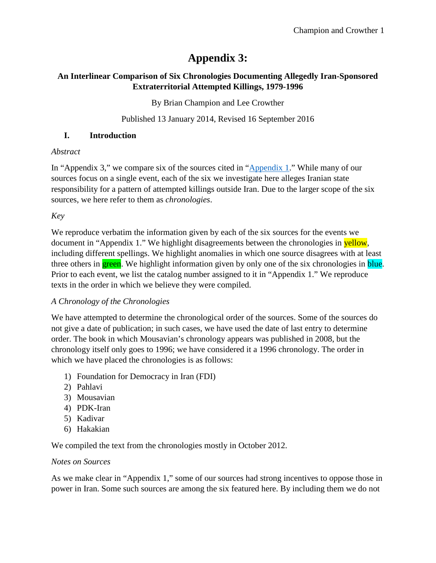# **Appendix 3:**

## **An Interlinear Comparison of Six Chronologies Documenting Allegedly Iran-Sponsored Extraterritorial Attempted Killings, 1979-1996**

By Brian Champion and Lee Crowther

Published 13 January 2014, Revised 16 September 2016

## **I. Introduction**

## *Abstract*

In "Appendix 3," we compare six of the sources cited in ["Appendix 1.](http://hdl.lib.byu.edu/1877/2995)" While many of our sources focus on a single event, each of the six we investigate here alleges Iranian state responsibility for a pattern of attempted killings outside Iran. Due to the larger scope of the six sources, we here refer to them as *chronologies*.

*Key*

We reproduce verbatim the information given by each of the six sources for the events we document in "Appendix 1." We highlight disagreements between the chronologies in yellow, including different spellings. We highlight anomalies in which one source disagrees with at least three others in **green**. We highlight information given by only one of the six chronologies in **blue**. Prior to each event, we list the catalog number assigned to it in "Appendix 1." We reproduce texts in the order in which we believe they were compiled.

## *A Chronology of the Chronologies*

We have attempted to determine the chronological order of the sources. Some of the sources do not give a date of publication; in such cases, we have used the date of last entry to determine order. The book in which Mousavian's chronology appears was published in 2008, but the chronology itself only goes to 1996; we have considered it a 1996 chronology. The order in which we have placed the chronologies is as follows:

- 1) Foundation for Democracy in Iran (FDI)
- 2) Pahlavi
- 3) Mousavian
- 4) PDK-Iran
- 5) Kadivar
- 6) Hakakian

We compiled the text from the chronologies mostly in October 2012.

## *Notes on Sources*

As we make clear in "Appendix 1," some of our sources had strong incentives to oppose those in power in Iran. Some such sources are among the six featured here. By including them we do not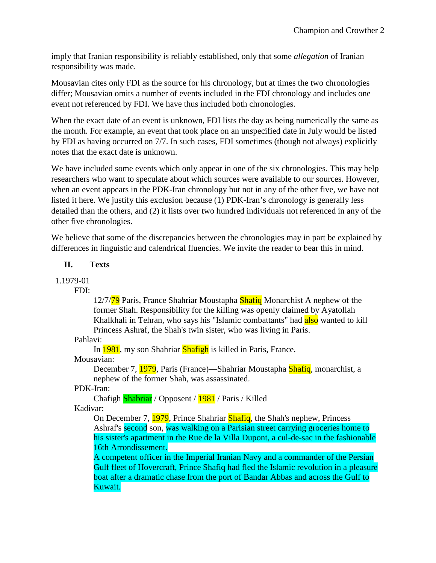imply that Iranian responsibility is reliably established, only that some *allegation* of Iranian responsibility was made.

Mousavian cites only FDI as the source for his chronology, but at times the two chronologies differ; Mousavian omits a number of events included in the FDI chronology and includes one event not referenced by FDI. We have thus included both chronologies.

When the exact date of an event is unknown, FDI lists the day as being numerically the same as the month. For example, an event that took place on an unspecified date in July would be listed by FDI as having occurred on 7/7. In such cases, FDI sometimes (though not always) explicitly notes that the exact date is unknown.

We have included some events which only appear in one of the six chronologies. This may help researchers who want to speculate about which sources were available to our sources. However, when an event appears in the PDK-Iran chronology but not in any of the other five, we have not listed it here. We justify this exclusion because (1) PDK-Iran's chronology is generally less detailed than the others, and (2) it lists over two hundred individuals not referenced in any of the other five chronologies.

We believe that some of the discrepancies between the chronologies may in part be explained by differences in linguistic and calendrical fluencies. We invite the reader to bear this in mind.

## **II. Texts**

1.1979-01

FDI:

12/7/79 Paris, France Shahriar Moustapha Shafiq Monarchist A nephew of the former Shah. Responsibility for the killing was openly claimed by Ayatollah Khalkhali in Tehran, who says his "Islamic combattants" had also wanted to kill Princess Ashraf, the Shah's twin sister, who was living in Paris.

Pahlavi:

In 1981, my son Shahriar Shafigh is killed in Paris, France.

Mousavian:

December 7, 1979, Paris (France)—Shahriar Moustapha Shafiq, monarchist, a nephew of the former Shah, was assassinated.

## PDK-Iran:

Chafigh **Shabriar** / Opposent / **1981** / Paris / Killed

Kadivar:

On December 7, 1979, Prince Shahriar Shafiq, the Shah's nephew, Princess Ashraf's second son, was walking on a Parisian street carrying groceries home to his sister's apartment in the Rue de la Villa Dupont, a cul-de-sac in the fashionable 16th Arrondissement.

A competent officer in the Imperial Iranian Navy and a commander of the Persian Gulf fleet of Hovercraft, Prince Shafiq had fled the Islamic revolution in a pleasure boat after a dramatic chase from the port of Bandar Abbas and across the Gulf to Kuwait.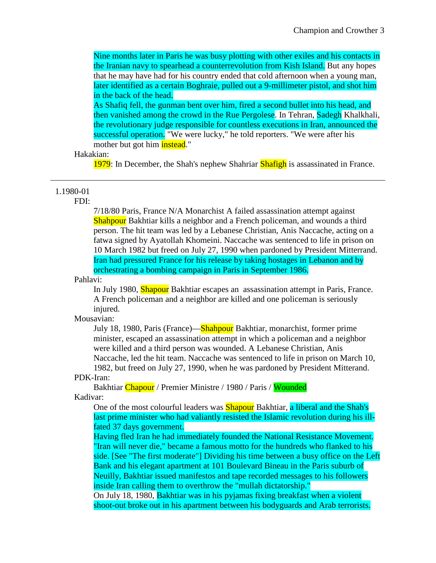Nine months later in Paris he was busy plotting with other exiles and his contacts in the Iranian navy to spearhead a counterrevolution from Kish Island. But any hopes that he may have had for his country ended that cold afternoon when a young man, later identified as a certain Boghraie, pulled out a 9-millimeter pistol, and shot him in the back of the head.

As Shafiq fell, the gunman bent over him, fired a second bullet into his head, and then vanished among the crowd in the Rue Pergolese. In Tehran, Sadegh Khalkhali, the revolutionary judge responsible for countless executions in Iran, announced the successful operation. "We were lucky," he told reporters. "We were after his mother but got him **instead**."

#### Hakakian:

1979: In December, the Shah's nephew Shahriar Shafigh is assassinated in France.

## 1.1980-01

FDI:

7/18/80 Paris, France N/A Monarchist A failed assassination attempt against **Shahpour** Bakhtiar kills a neighbor and a French policeman, and wounds a third person. The hit team was led by a Lebanese Christian, Anis Naccache, acting on a fatwa signed by Ayatollah Khomeini. Naccache was sentenced to life in prison on 10 March 1982 but freed on July 27, 1990 when pardoned by President Mitterrand. Iran had pressured France for his release by taking hostages in Lebanon and by orchestrating a bombing campaign in Paris in September 1986.

## Pahlavi:

In July 1980, Shapour Bakhtiar escapes an assassination attempt in Paris, France. A French policeman and a neighbor are killed and one policeman is seriously injured.

#### Mousavian:

July 18, 1980, Paris (France)—Shahpour Bakhtiar, monarchist, former prime minister, escaped an assassination attempt in which a policeman and a neighbor were killed and a third person was wounded. A Lebanese Christian, Anis Naccache, led the hit team. Naccache was sentenced to life in prison on March 10, 1982, but freed on July 27, 1990, when he was pardoned by President Mitterand.

#### PDK-Iran:

Bakhtiar Chapour / Premier Ministre / 1980 / Paris / Wounded Kadivar:

One of the most colourful leaders was **Shapour** Bakhtiar, a liberal and the Shah's last prime minister who had valiantly resisted the Islamic revolution during his illfated 37 days government.

Having fled Iran he had immediately founded the National Resistance Movement. "Iran will never die," became a famous motto for the hundreds who flanked to his side. [See "The first moderate"] Dividing his time between a busy office on the Left Bank and his elegant apartment at 101 Boulevard Bineau in the Paris suburb of Neuilly, Bakhtiar issued manifestos and tape recorded messages to his followers inside Iran calling them to overthrow the "mullah dictatorship."

On July 18, 1980, Bakhtiar was in his pyjamas fixing breakfast when a violent shoot-out broke out in his apartment between his bodyguards and Arab terrorists.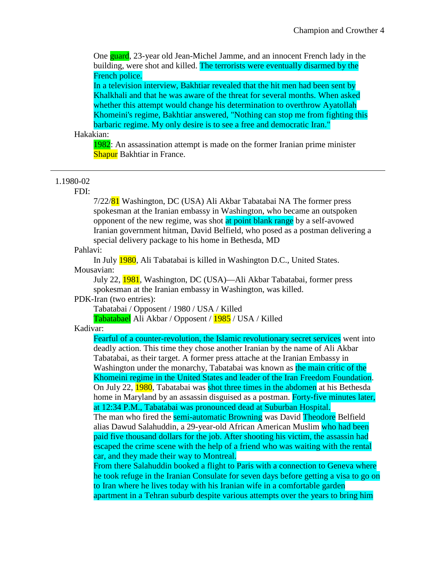One guard, 23-year old Jean-Michel Jamme, and an innocent French lady in the building, were shot and killed. The terrorists were eventually disarmed by the French police.

In a television interview, Bakhtiar revealed that the hit men had been sent by Khalkhali and that he was aware of the threat for several months. When asked whether this attempt would change his determination to overthrow Ayatollah Khomeini's regime, Bakhtiar answered, "Nothing can stop me from fighting this barbaric regime. My only desire is to see a free and democratic Iran."

## Hakakian:

1982: An assassination attempt is made on the former Iranian prime minister **Shapur** Bakhtiar in France.

#### 1.1980-02

#### FDI:

7/22/81 Washington, DC (USA) Ali Akbar Tabatabai NA The former press spokesman at the Iranian embassy in Washington, who became an outspoken opponent of the new regime, was shot at point blank range by a self-avowed Iranian government hitman, David Belfield, who posed as a postman delivering a special delivery package to his home in Bethesda, MD

#### Pahlavi:

In July 1980, Ali Tabatabai is killed in Washington D.C., United States. Mousavian:

July 22, 1981, Washington, DC (USA)—Ali Akbar Tabatabai, former press spokesman at the Iranian embassy in Washington, was killed.

PDK-Iran (two entries):

Tabatabai / Opposent / 1980 / USA / Killed

Tabatabael Ali Akbar / Opposent / 1985 / USA / Killed

#### Kadivar:

Fearful of a counter-revolution, the Islamic revolutionary secret services went into deadly action. This time they chose another Iranian by the name of Ali Akbar Tabatabai, as their target. A former press attache at the Iranian Embassy in Washington under the monarchy, Tabatabai was known as the main critic of the Khomeini regime in the United States and leader of the Iran Freedom Foundation. On July 22, 1980, Tabatabai was shot three times in the abdomen at his Bethesda home in Maryland by an assassin disguised as a postman. Forty-five minutes later, at 12:34 P.M., Tabatabai was pronounced dead at Suburban Hospital.

The man who fired the **semi-automatic Browning** was David Theodore Belfield alias Dawud Salahuddin, a 29-year-old African American Muslim who had been paid five thousand dollars for the job. After shooting his victim, the assassin had escaped the crime scene with the help of a friend who was waiting with the rental car, and they made their way to Montreal.

From there Salahuddin booked a flight to Paris with a connection to Geneva where he took refuge in the Iranian Consulate for seven days before getting a visa to go on to Iran where he lives today with his Iranian wife in a comfortable garden apartment in a Tehran suburb despite various attempts over the years to bring him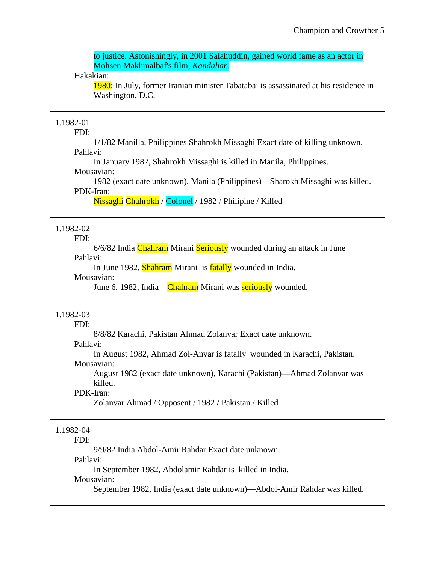to justice. Astonishingly, in 2001 Salahuddin, gained world fame as an actor in Mohsen Makhmalbaf's film, *Kandahar*.

#### Hakakian:

1980: In July, former Iranian minister Tabatabai is assassinated at his residence in Washington, D.C.

## 1.1982-01

FDI:

1/1/82 Manilla, Philippines Shahrokh Missaghi Exact date of killing unknown. Pahlavi:

In January 1982, Shahrokh Missaghi is killed in Manila, Philippines. Mousavian:

1982 (exact date unknown), Manila (Philippines)—Sharokh Missaghi was killed.

#### PDK-Iran:

Nissaghi Chahrokh / Colonel / 1982 / Philipine / Killed

## 1.1982-02

FDI:

6/6/82 India Chahram Mirani Seriously wounded during an attack in June Pahlavi:

In June 1982, Shahram Mirani is fatally wounded in India.

## Mousavian:

June 6, 1982, India—Chahram Mirani was **seriously** wounded.

## 1.1982-03

FDI:

8/8/82 Karachi, Pakistan Ahmad Zolanvar Exact date unknown.

## Pahlavi:

In August 1982, Ahmad Zol-Anvar is fatally wounded in Karachi, Pakistan. Mousavian:

August 1982 (exact date unknown), Karachi (Pakistan)—Ahmad Zolanvar was killed.

#### PDK-Iran:

Zolanvar Ahmad / Opposent / 1982 / Pakistan / Killed

## 1.1982-04

FDI:

9/9/82 India Abdol-Amir Rahdar Exact date unknown.

Pahlavi:

In September 1982, Abdolamir Rahdar is killed in India.

#### Mousavian:

September 1982, India (exact date unknown)—Abdol-Amir Rahdar was killed.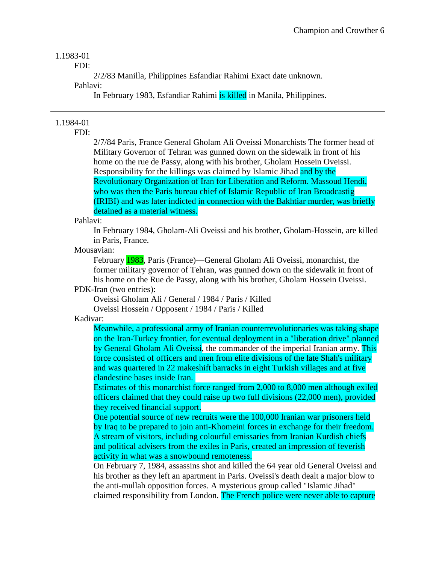## 1.1983-01

FDI:

2/2/83 Manilla, Philippines Esfandiar Rahimi Exact date unknown.

Pahlavi:

In February 1983, Esfandiar Rahimi is killed in Manila, Philippines.

## 1.1984-01

FDI:

2/7/84 Paris, France General Gholam Ali Oveissi Monarchists The former head of Military Governor of Tehran was gunned down on the sidewalk in front of his home on the rue de Passy, along with his brother, Gholam Hossein Oveissi. Responsibility for the killings was claimed by Islamic Jihad and by the Revolutionary Organization of Iran for Liberation and Reform. Massoud Hendi, who was then the Paris bureau chief of Islamic Republic of Iran Broadcastig (IRIBI) and was later indicted in connection with the Bakhtiar murder, was briefly detained as a material witness.

Pahlavi:

In February 1984, Gholam-Ali Oveissi and his brother, Gholam-Hossein, are killed in Paris, France.

Mousavian:

February 1983, Paris (France)—General Gholam Ali Oveissi, monarchist, the former military governor of Tehran, was gunned down on the sidewalk in front of his home on the Rue de Passy, along with his brother, Gholam Hossein Oveissi.

PDK-Iran (two entries):

Oveissi Gholam Ali / General / 1984 / Paris / Killed

Oveissi Hossein / Opposent / 1984 / Paris / Killed

Kadivar:

Meanwhile, a professional army of Iranian counterrevolutionaries was taking shape on the Iran-Turkey frontier, for eventual deployment in a "liberation drive" planned by General Gholam Ali Oveissi, the commander of the imperial Iranian army. This force consisted of officers and men from elite divisions of the late Shah's military and was quartered in 22 makeshift barracks in eight Turkish villages and at five clandestine bases inside Iran.

Estimates of this monarchist force ranged from 2,000 to 8,000 men although exiled officers claimed that they could raise up two full divisions (22,000 men), provided they received financial support.

One potential source of new recruits were the 100,000 Iranian war prisoners held by Iraq to be prepared to join anti-Khomeini forces in exchange for their freedom. A stream of visitors, including colourful emissaries from Iranian Kurdish chiefs and political advisers from the exiles in Paris, created an impression of feverish activity in what was a snowbound remoteness.

On February 7, 1984, assassins shot and killed the 64 year old General Oveissi and his brother as they left an apartment in Paris. Oveissi's death dealt a major blow to the anti-mullah opposition forces. A mysterious group called "Islamic Jihad" claimed responsibility from London. The French police were never able to capture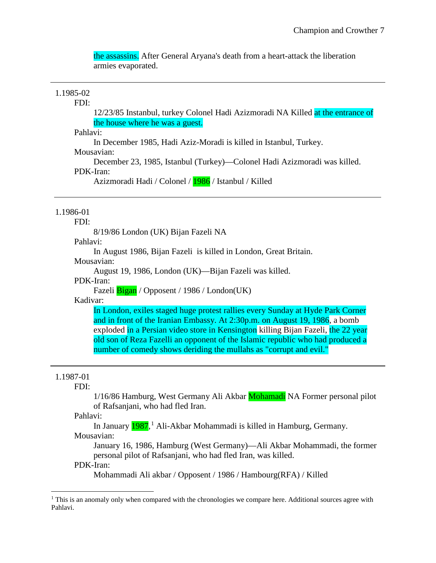the assassins. After General Aryana's death from a heart-attack the liberation armies evaporated.

## 1.1985-02

#### FDI:

12/23/85 Instanbul, turkey Colonel Hadi Azizmoradi NA Killed at the entrance of the house where he was a guest.

Pahlavi:

In December 1985, Hadi Aziz-Moradi is killed in Istanbul, Turkey.

## Mousavian:

December 23, 1985, Istanbul (Turkey)—Colonel Hadi Azizmoradi was killed. PDK-Iran:

Azizmoradi Hadi / Colonel / 1986 / Istanbul / Killed

## 1.1986-01

#### FDI:

8/19/86 London (UK) Bijan Fazeli NA

Pahlavi:

In August 1986, Bijan Fazeli is killed in London, Great Britain.

Mousavian:

August 19, 1986, London (UK)—Bijan Fazeli was killed.

PDK-Iran:

Fazeli Bigan / Opposent / 1986 / London(UK)

Kadivar:

In London, exiles staged huge protest rallies every Sunday at Hyde Park Corner and in front of the Iranian Embassy. At 2:30p.m. on August 19, 1986, a bomb exploded in a Persian video store in Kensington killing Bijan Fazeli, the 22 year old son of Reza Fazelli an opponent of the Islamic republic who had produced a number of comedy shows deriding the mullahs as "corrupt and evil."

#### 1.1987-01

l

#### FDI:

1/16/86 Hamburg, West Germany Ali Akbar Mohamadi NA Former personal pilot of Rafsanjani, who had fled Iran.

#### Pahlavi:

In January <mark>[1](#page-7-0)987</mark>,<sup>1</sup> Ali-Akbar Mohammadi is killed in Hamburg, Germany. Mousavian:

January 16, 1986, Hamburg (West Germany)—Ali Akbar Mohammadi, the former personal pilot of Rafsanjani, who had fled Iran, was killed.

## PDK-Iran:

Mohammadi Ali akbar / Opposent / 1986 / Hambourg(RFA) / Killed

<span id="page-7-0"></span> $1$  This is an anomaly only when compared with the chronologies we compare here. Additional sources agree with Pahlavi.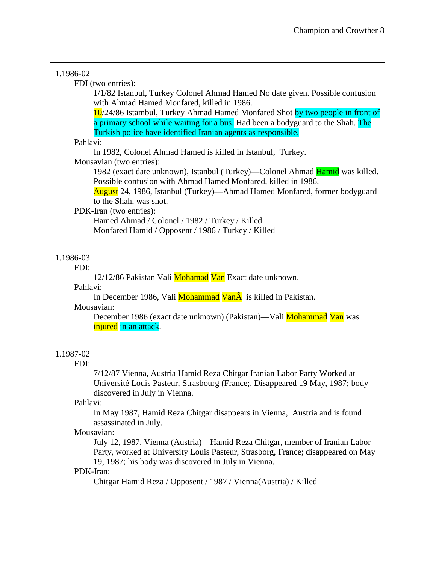## 1.1986-02 FDI (two entries): 1/1/82 Istanbul, Turkey Colonel Ahmad Hamed No date given. Possible confusion with Ahmad Hamed Monfared, killed in 1986. 10/24/86 Istambul, Turkey Ahmad Hamed Monfared Shot by two people in front of a primary school while waiting for a bus. Had been a bodyguard to the Shah. The Turkish police have identified Iranian agents as responsible. Pahlavi: In 1982, Colonel Ahmad Hamed is killed in Istanbul, Turkey. Mousavian (two entries): 1982 (exact date unknown), Istanbul (Turkey)—Colonel Ahmad Hamid was killed. Possible confusion with Ahmad Hamed Monfared, killed in 1986. August 24, 1986, Istanbul (Turkey)—Ahmad Hamed Monfared, former bodyguard to the Shah, was shot. PDK-Iran (two entries): Hamed Ahmad / Colonel / 1982 / Turkey / Killed

Monfared Hamid / Opposent / 1986 / Turkey / Killed

## 1.1986-03

FDI:

12/12/86 Pakistan Vali Mohamad Van Exact date unknown.

Pahlavi:

In December 1986, Vali Mohammad Van $\hat{A}$  is killed in Pakistan. Mousavian:

December 1986 (exact date unknown) (Pakistan)—Vali Mohammad Van was injured in an attack.

## 1.1987-02

FDI:

7/12/87 Vienna, Austria Hamid Reza Chitgar Iranian Labor Party Worked at Université Louis Pasteur, Strasbourg (France;. Disappeared 19 May, 1987; body discovered in July in Vienna.

Pahlavi:

In May 1987, Hamid Reza Chitgar disappears in Vienna, Austria and is found assassinated in July.

## Mousavian:

July 12, 1987, Vienna (Austria)—Hamid Reza Chitgar, member of Iranian Labor Party, worked at University Louis Pasteur, Strasborg, France; disappeared on May 19, 1987; his body was discovered in July in Vienna.

## PDK-Iran:

Chitgar Hamid Reza / Opposent / 1987 / Vienna(Austria) / Killed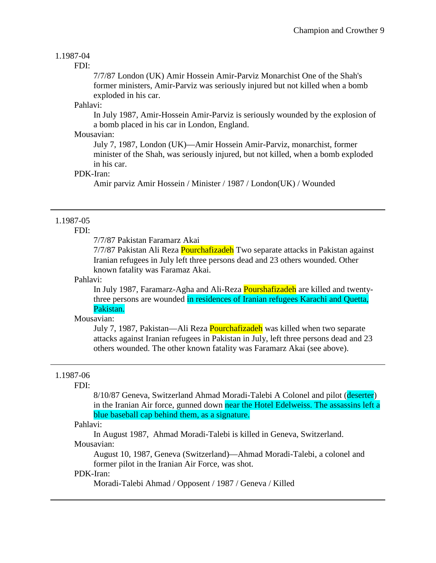## 1.1987-04

#### FDI:

7/7/87 London (UK) Amir Hossein Amir-Parviz Monarchist One of the Shah's former ministers, Amir-Parviz was seriously injured but not killed when a bomb exploded in his car.

## Pahlavi:

In July 1987, Amir-Hossein Amir-Parviz is seriously wounded by the explosion of a bomb placed in his car in London, England.

## Mousavian:

July 7, 1987, London (UK)—Amir Hossein Amir-Parviz, monarchist, former minister of the Shah, was seriously injured, but not killed, when a bomb exploded in his car.

## PDK-Iran:

Amir parviz Amir Hossein / Minister / 1987 / London(UK) / Wounded

## 1.1987-05

## FDI:

7/7/87 Pakistan Faramarz Akai

7/7/87 Pakistan Ali Reza Pourchafizadeh Two separate attacks in Pakistan against Iranian refugees in July left three persons dead and 23 others wounded. Other known fatality was Faramaz Akai.

#### Pahlavi:

In July 1987, Faramarz-Agha and Ali-Reza Pourshafizadeh are killed and twentythree persons are wounded in residences of Iranian refugees Karachi and Quetta, Pakistan.

#### Mousavian:

July 7, 1987, Pakistan—Ali Reza Pourchafizadeh was killed when two separate attacks against Iranian refugees in Pakistan in July, left three persons dead and 23 others wounded. The other known fatality was Faramarz Akai (see above).

#### 1.1987-06

#### FDI:

8/10/87 Geneva, Switzerland Ahmad Moradi-Talebi A Colonel and pilot (deserter) in the Iranian Air force, gunned down near the Hotel Edelweiss. The assassins left a blue baseball cap behind them, as a signature.

#### Pahlavi:

In August 1987, Ahmad Moradi-Talebi is killed in Geneva, Switzerland. Mousavian:

August 10, 1987, Geneva (Switzerland)—Ahmad Moradi-Talebi, a colonel and former pilot in the Iranian Air Force, was shot.

## PDK-Iran:

Moradi-Talebi Ahmad / Opposent / 1987 / Geneva / Killed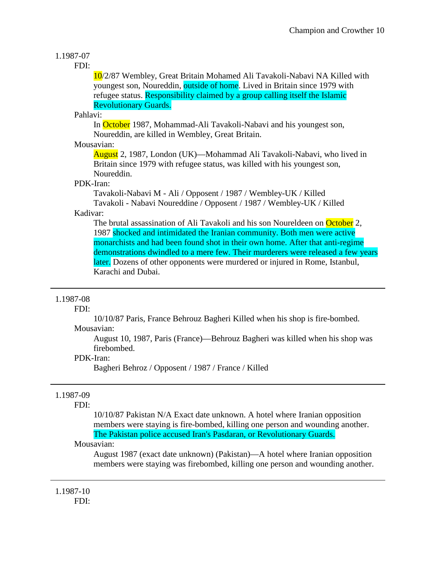## 1.1987-07

## FDI:

10/2/87 Wembley, Great Britain Mohamed Ali Tavakoli-Nabavi NA Killed with youngest son, Noureddin, outside of home. Lived in Britain since 1979 with refugee status. Responsibility claimed by a group calling itself the Islamic Revolutionary Guards.

## Pahlavi:

In October 1987, Mohammad-Ali Tavakoli-Nabavi and his youngest son, Noureddin, are killed in Wembley, Great Britain.

## Mousavian:

August 2, 1987, London (UK)—Mohammad Ali Tavakoli-Nabavi, who lived in Britain since 1979 with refugee status, was killed with his youngest son, Noureddin.

## PDK-Iran:

Tavakoli-Nabavi M - Ali / Opposent / 1987 / Wembley-UK / Killed Tavakoli - Nabavi Noureddine / Opposent / 1987 / Wembley-UK / Killed

## Kadivar:

The brutal assassination of Ali Tavakoli and his son Noureldeen on October 2, 1987 shocked and intimidated the Iranian community. Both men were active monarchists and had been found shot in their own home. After that anti-regime demonstrations dwindled to a mere few. Their murderers were released a few years later. Dozens of other opponents were murdered or injured in Rome, Istanbul, Karachi and Dubai.

## 1.1987-08

## FDI:

10/10/87 Paris, France Behrouz Bagheri Killed when his shop is fire-bombed.

## Mousavian:

August 10, 1987, Paris (France)—Behrouz Bagheri was killed when his shop was firebombed.

## PDK-Iran:

Bagheri Behroz / Opposent / 1987 / France / Killed

## 1.1987-09

## FDI:

10/10/87 Pakistan N/A Exact date unknown. A hotel where Iranian opposition members were staying is fire-bombed, killing one person and wounding another. The Pakistan police accused Iran's Pasdaran, or Revolutionary Guards.

## Mousavian:

August 1987 (exact date unknown) (Pakistan)—A hotel where Iranian opposition members were staying was firebombed, killing one person and wounding another.

1.1987-10 FDI: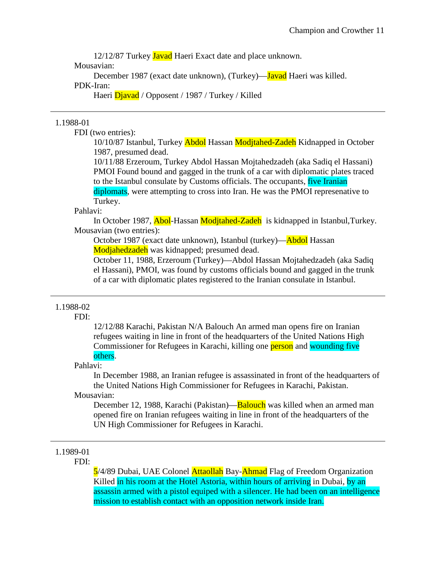12/12/87 Turkey Javad Haeri Exact date and place unknown.

Mousavian:

December 1987 (exact date unknown), (Turkey)—**Javad** Haeri was killed. PDK-Iran:

Haeri Djavad / Opposent / 1987 / Turkey / Killed

#### 1.1988-01

FDI (two entries):

10/10/87 Istanbul, Turkey Abdol Hassan Modjtahed-Zadeh Kidnapped in October 1987, presumed dead.

10/11/88 Erzeroum, Turkey Abdol Hassan Mojtahedzadeh (aka Sadiq el Hassani) PMOI Found bound and gagged in the trunk of a car with diplomatic plates traced to the Istanbul consulate by Customs officials. The occupants, five Iranian diplomats, were attempting to cross into Iran. He was the PMOI represenative to Turkey.

Pahlavi:

In October 1987, Abol-Hassan Modjtahed-Zadeh is kidnapped in Istanbul,Turkey. Mousavian (two entries):

October 1987 (exact date unknown), Istanbul (turkey)—Abdol Hassan Modjahedzadeh was kidnapped; presumed dead.

October 11, 1988, Erzeroum (Turkey)—Abdol Hassan Mojtahedzadeh (aka Sadiq el Hassani), PMOI, was found by customs officials bound and gagged in the trunk of a car with diplomatic plates registered to the Iranian consulate in Istanbul.

## 1.1988-02

#### FDI:

12/12/88 Karachi, Pakistan N/A Balouch An armed man opens fire on Iranian refugees waiting in line in front of the headquarters of the United Nations High Commissioner for Refugees in Karachi, killing one **person** and wounding five others.

#### Pahlavi:

In December 1988, an Iranian refugee is assassinated in front of the headquarters of the United Nations High Commissioner for Refugees in Karachi, Pakistan. Mousavian:

December 12, 1988, Karachi (Pakistan)—**Balouch** was killed when an armed man opened fire on Iranian refugees waiting in line in front of the headquarters of the UN High Commissioner for Refugees in Karachi.

## 1.1989-01

FDI:

5/4/89 Dubai, UAE Colonel Attaollah Bay-Ahmad Flag of Freedom Organization Killed in his room at the Hotel Astoria, within hours of arriving in Dubai, by an assassin armed with a pistol equiped with a silencer. He had been on an intelligence mission to establish contact with an opposition network inside Iran.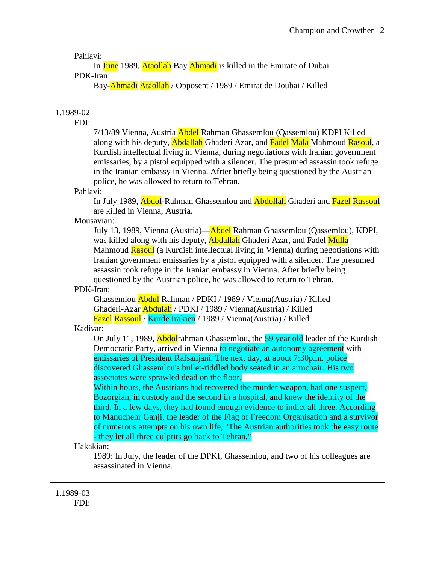Pahlavi:

In June 1989, Ataollah Bay Ahmadi is killed in the Emirate of Dubai. PDK-Iran:

Bay-Ahmadi Ataollah / Opposent / 1989 / Emirat de Doubai / Killed

## 1.1989-02

FDI:

7/13/89 Vienna, Austria Abdel Rahman Ghassemlou (Qassemlou) KDPI Killed along with his deputy, **Abdallah** Ghaderi Azar, and Fadel Mala Mahmoud Rasoul, a Kurdish intellectual living in Vienna, during negotiations with Iranian government emissaries, by a pistol equipped with a silencer. The presumed assassin took refuge in the Iranian embassy in Vienna. Afrter briefly being questioned by the Austrian police, he was allowed to return to Tehran.

## Pahlavi:

In July 1989, Abdol-Rahman Ghassemlou and Abdollah Ghaderi and Fazel Rassoul are killed in Vienna, Austria.

## Mousavian:

July 13, 1989, Vienna (Austria)—Abdel Rahman Ghassemlou (Qassemlou), KDPI, was killed along with his deputy, **Abdallah** Ghaderi Azar, and Fadel Mulla Mahmoud Rasoul (a Kurdish intellectual living in Vienna) during negotiations with Iranian government emissaries by a pistol equipped with a silencer. The presumed assassin took refuge in the Iranian embassy in Vienna. After briefly being questioned by the Austrian police, he was allowed to return to Tehran.

## PDK-Iran:

Ghassemlou Abdul Rahman / PDKI / 1989 / Vienna(Austria) / Killed Ghaderi-Azar Abdulah / PDKI / 1989 / Vienna(Austria) / Killed Fazel Rassoul / Kurde Irakien / 1989 / Vienna(Austria) / Killed

Kadivar:

On July 11, 1989, **Abdol**rahman Ghassemlou, the 59 year old leader of the Kurdish Democratic Party, arrived in Vienna to negotiate an autonomy agreement with emissaries of President Rafsanjani. The next day, at about 7:30p.m. police discovered Ghassemlou's bullet-riddled body seated in an armchair. His two associates were sprawled dead on the floor.

Within hours, the Austrians had recovered the murder weapon, had one suspect, Bozorgian, in custody and the second in a hospital, and knew the identity of the third. In a few days, they had found enough evidence to indict all three. According to Manuchehr Ganji, the leader of the Flag of Freedom Organisation and a survivor of numerous attempts on his own life, "The Austrian authorities took the easy route - they let all three culprits go back to Tehran."

## Hakakian:

1989: In July, the leader of the DPKI, Ghassemlou, and two of his colleagues are assassinated in Vienna.

1.1989-03 FDI: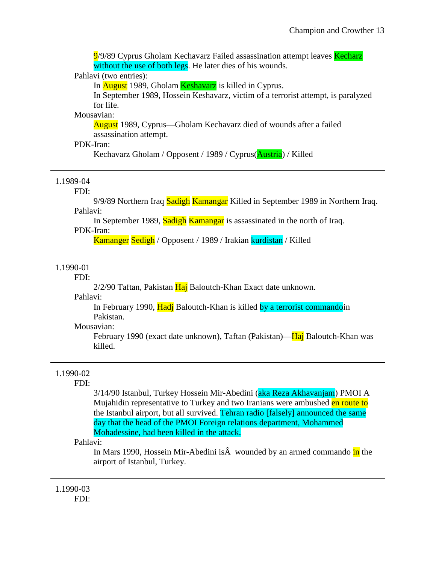9/9/89 Cyprus Gholam Kechavarz Failed assassination attempt leaves Kecharz without the use of both legs. He later dies of his wounds.

#### Pahlavi (two entries):

In **August** 1989, Gholam **Keshavarz** is killed in Cyprus.

In September 1989, Hossein Keshavarz, victim of a terrorist attempt, is paralyzed for life.

## Mousavian:

August 1989, Cyprus—Gholam Kechavarz died of wounds after a failed assassination attempt.

## PDK-Iran:

Kechavarz Gholam / Opposent / 1989 / Cyprus(Austria) / Killed

## 1.1989-04

#### FDI:

9/9/89 Northern Iraq Sadigh Kamangar Killed in September 1989 in Northern Iraq. Pahlavi:

In September 1989, Sadigh Kamangar is assassinated in the north of Iraq. PDK-Iran:

Kamanger Sedigh / Opposent / 1989 / Irakian kurdistan / Killed

## 1.1990-01

FDI:

 $2/2/90$  Taftan, Pakistan  $\overline{Ha}$  Baloutch-Khan Exact date unknown.

Pahlavi:

In February 1990, Hadj Baloutch-Khan is killed by a terrorist commandoin Pakistan.

#### Mousavian:

February 1990 (exact date unknown), Taftan (Pakistan)—Haj Baloutch-Khan was killed.

#### 1.1990-02

### FDI:

3/14/90 Istanbul, Turkey Hossein Mir-Abedini (aka Reza Akhavanjam) PMOI A Mujahidin representative to Turkey and two Iranians were ambushed en route to the Istanbul airport, but all survived. Tehran radio [falsely] announced the same day that the head of the PMOI Foreign relations department, Mohammed Mohadessine, had been killed in the attack.

## Pahlavi:

In Mars 1990, Hossein Mir-Abedini is $\hat{A}$  wounded by an armed commando in the airport of Istanbul, Turkey.

## 1.1990-03 FDI: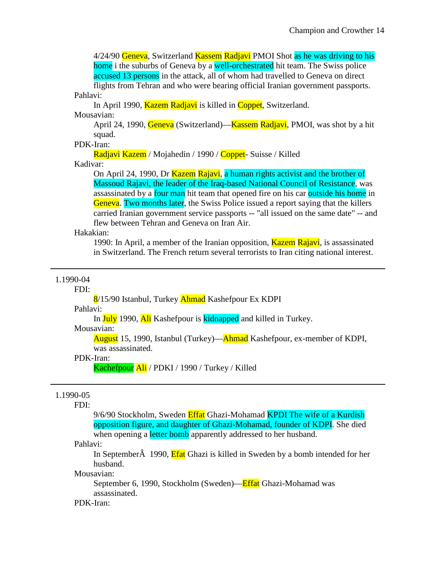4/24/90 Geneva, Switzerland Kassem Radjavi PMOI Shot as he was driving to his home i the suburbs of Geneva by a well-orchestrated hit team. The Swiss police accused 13 persons in the attack, all of whom had travelled to Geneva on direct flights from Tehran and who were bearing official Iranian government passports.

Pahlavi:

In April 1990, Kazem Radjavi is killed in Coppet, Switzerland.

Mousavian:

April 24, 1990, Geneva (Switzerland)—Kassem Radjavi, PMOI, was shot by a hit squad.

## PDK-Iran:

Radjavi Kazem / Mojahedin / 1990 / Coppet- Suisse / Killed

#### Kadivar:

On April 24, 1990, Dr Kazem Rajavi, a human rights activist and the brother of Massoud Rajavi, the leader of the Iraq-based National Council of Resistance, was assassinated by a four man hit team that opened fire on his car outside his home in Geneva. Two months later, the Swiss Police issued a report saying that the killers carried Iranian government service passports -- "all issued on the same date" -- and flew between Tehran and Geneva on Iran Air.

## Hakakian:

1990: In April, a member of the Iranian opposition, Kazem Rajavi, is assassinated in Switzerland. The French return several terrorists to Iran citing national interest.

#### 1.1990-04

#### FDI:

8/15/90 Istanbul, Turkey **Ahmad** Kashefpour Ex KDPI

## Pahlavi:

In July 1990, Ali Kashefpour is kidnapped and killed in Turkey.

#### Mousavian:

August 15, 1990, Istanbul (Turkey)—Ahmad Kashefpour, ex-member of KDPI, was assassinated.

#### PDK-Iran:

Kachefpour Ali / PDKI / 1990 / Turkey / Killed

## 1.1990-05

#### FDI:

9/6/90 Stockholm, Sweden Effat Ghazi-Mohamad KPDI The wife of a Kurdish opposition figure, and daughter of Ghazi-Mohamad, founder of KDPI. She died when opening a letter bomb apparently addressed to her husband.

#### Pahlavi:

In September 1990, Efat Ghazi is killed in Sweden by a bomb intended for her husband.

## Mousavian:

September 6, 1990, Stockholm (Sweden)—Effat Ghazi-Mohamad was assassinated.

#### PDK-Iran: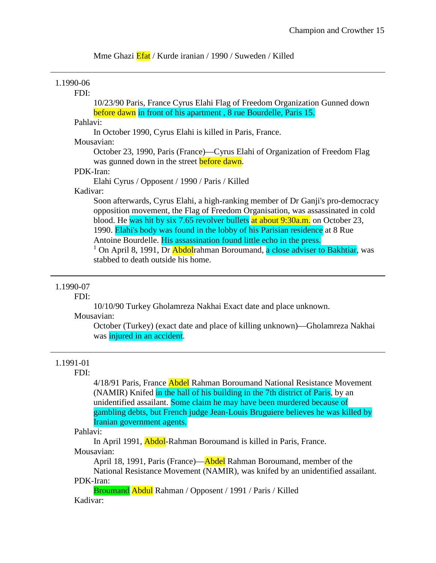Mme Ghazi **Efat** / Kurde iranian / 1990 / Suweden / Killed

## 1.1990-06

## FDI:

10/23/90 Paris, France Cyrus Elahi Flag of Freedom Organization Gunned down before dawn in front of his apartment , 8 rue Bourdelle, Paris 15.

#### Pahlavi:

In October 1990, Cyrus Elahi is killed in Paris, France.

#### Mousavian:

October 23, 1990, Paris (France)—Cyrus Elahi of Organization of Freedom Flag was gunned down in the street **before dawn**.

#### PDK-Iran:

Elahi Cyrus / Opposent / 1990 / Paris / Killed

## Kadivar:

Soon afterwards, Cyrus Elahi, a high-ranking member of Dr Ganji's pro-democracy opposition movement, the Flag of Freedom Organisation, was assassinated in cold blood. He was hit by six 7.65 revolver bullets at about 9:30a.m. on October 23, 1990. Elahi's body was found in the lobby of his Parisian residence at 8 Rue Antoine Bourdelle. His assassination found little echo in the press. <sup>1</sup> On April 8, 1991, Dr **Abdol**rahman Boroumand, a close adviser to Bakhtiar, was stabbed to death outside his home.

## 1.1990-07

#### FDI:

10/10/90 Turkey Gholamreza Nakhai Exact date and place unknown.

## Mousavian:

October (Turkey) (exact date and place of killing unknown)—Gholamreza Nakhai was injured in an accident.

#### 1.1991-01

#### FDI:

4/18/91 Paris, France Abdel Rahman Boroumand National Resistance Movement (NAMIR) Knifed in the hall of his building in the 7th district of Paris, by an unidentified assailant. Some claim he may have been murdered because of gambling debts, but French judge Jean-Louis Bruguiere believes he was killed by Iranian government agents.

Pahlavi:

In April 1991, Abdol-Rahman Boroumand is killed in Paris, France. Mousavian:

April 18, 1991, Paris (France)—Abdel Rahman Boroumand, member of the

National Resistance Movement (NAMIR), was knifed by an unidentified assailant. PDK-Iran:

Broumand Abdul Rahman / Opposent / 1991 / Paris / Killed Kadivar: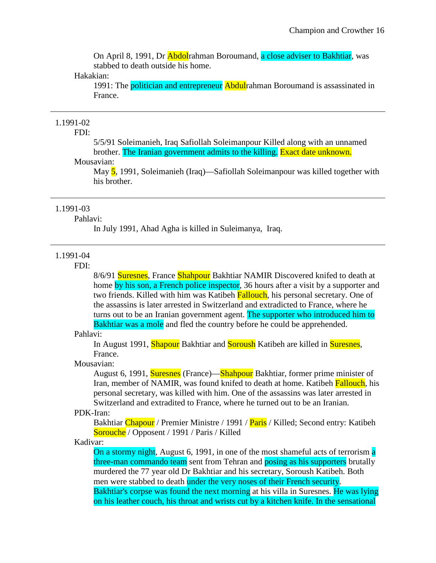On April 8, 1991, Dr Abdolrahman Boroumand, a close adviser to Bakhtiar, was stabbed to death outside his home.

#### Hakakian:

1991: The politician and entrepreneur Abdulrahman Boroumand is assassinated in France.

## 1.1991-02

## FDI:

5/5/91 Soleimanieh, Iraq Safiollah Soleimanpour Killed along with an unnamed brother. The Iranian government admits to the killing. Exact date unknown.

## Mousavian:

May 5, 1991, Soleimanieh (Iraq)—Safiollah Soleimanpour was killed together with his brother.

#### 1.1991-03

#### Pahlavi:

In July 1991, Ahad Agha is killed in Suleimanya, Iraq.

#### 1.1991-04

## FDI:

8/6/91 **Suresnes**, France Shahpour Bakhtiar NAMIR Discovered knifed to death at home by his son, a French police inspector, 36 hours after a visit by a supporter and two friends. Killed with him was Katibeh Fallouch, his personal secretary. One of the assassins is later arrested in Switzerland and extradicted to France, where he turns out to be an Iranian government agent. The supporter who introduced him to Bakhtiar was a mole and fled the country before he could be apprehended.

#### Pahlavi:

In August 1991, Shapour Bakhtiar and Soroush Katibeh are killed in Suresnes, France.

## Mousavian:

August 6, 1991, **Suresnes** (France)—**Shahpour** Bakhtiar, former prime minister of Iran, member of NAMIR, was found knifed to death at home. Katibeh Fallouch, his personal secretary, was killed with him. One of the assassins was later arrested in Switzerland and extradited to France, where he turned out to be an Iranian.

## PDK-Iran:

Bakhtiar Chapour / Premier Ministre / 1991 / Paris / Killed; Second entry: Katibeh Sorouche / Opposent / 1991 / Paris / Killed

Kadivar:

On a stormy night, August 6, 1991, in one of the most shameful acts of terrorism a three-man commando team sent from Tehran and posing as his supporters brutally murdered the 77 year old Dr Bakhtiar and his secretary, Soroush Katibeh. Both men were stabbed to death under the very noses of their French security. Bakhtiar's corpse was found the next morning at his villa in Suresnes. He was lying

on his leather couch, his throat and wrists cut by a kitchen knife. In the sensational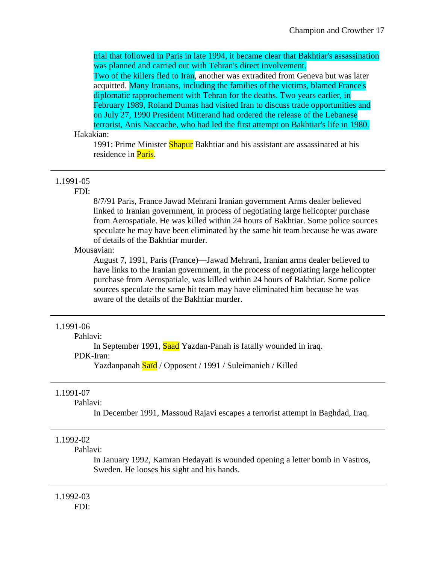trial that followed in Paris in late 1994, it became clear that Bakhtiar's assassination was planned and carried out with Tehran's direct involvement.

Two of the killers fled to Iran, another was extradited from Geneva but was later acquitted. Many Iranians, including the families of the victims, blamed France's diplomatic rapprochement with Tehran for the deaths. Two years earlier, in February 1989, Roland Dumas had visited Iran to discuss trade opportunities and on July 27, 1990 President Mitterand had ordered the release of the Lebanese terrorist, Anis Naccache, who had led the first attempt on Bakhtiar's life in 1980.

#### Hakakian:

1991: Prime Minister Shapur Bakhtiar and his assistant are assassinated at his residence in **Paris**.

#### 1.1991-05

#### FDI:

8/7/91 Paris, France Jawad Mehrani Iranian government Arms dealer believed linked to Iranian government, in process of negotiating large helicopter purchase from Aerospatiale. He was killed within 24 hours of Bakhtiar. Some police sources speculate he may have been eliminated by the same hit team because he was aware of details of the Bakhtiar murder.

## Mousavian:

August 7, 1991, Paris (France)—Jawad Mehrani, Iranian arms dealer believed to have links to the Iranian government, in the process of negotiating large helicopter purchase from Aerospatiale, was killed within 24 hours of Bakhtiar. Some police sources speculate the same hit team may have eliminated him because he was aware of the details of the Bakhtiar murder.

#### 1.1991-06

Pahlavi:

In September 1991, Saad Yazdan-Panah is fatally wounded in iraq. PDK-Iran:

Yazdanpanah Saïd / Opposent / 1991 / Suleimanieh / Killed

## 1.1991-07

#### Pahlavi:

In December 1991, Massoud Rajavi escapes a terrorist attempt in Baghdad, Iraq.

## 1.1992-02

#### Pahlavi:

In January 1992, Kamran Hedayati is wounded opening a letter bomb in Vastros, Sweden. He looses his sight and his hands.

# 1.1992-03

FDI: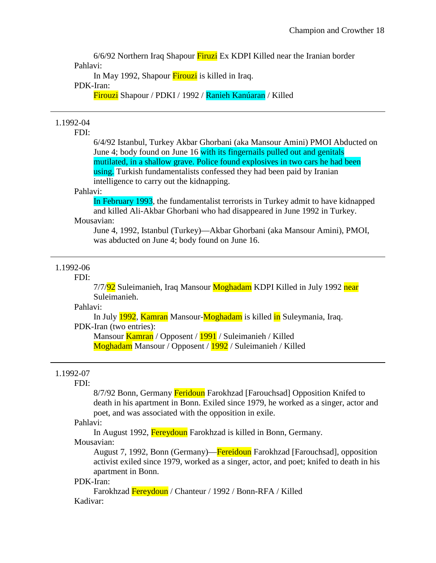6/6/92 Northern Iraq Shapour Firuzi Ex KDPI Killed near the Iranian border Pahlavi:

In May 1992, Shapour Firouzi is killed in Iraq.

#### PDK-Iran:

Firouzi Shapour / PDKI / 1992 / Ranieh Kanúaran / Killed

## 1.1992-04

## FDI:

6/4/92 Istanbul, Turkey Akbar Ghorbani (aka Mansour Amini) PMOI Abducted on June 4; body found on June 16 with its fingernails pulled out and genitals mutilated, in a shallow grave. Police found explosives in two cars he had been using. Turkish fundamentalists confessed they had been paid by Iranian intelligence to carry out the kidnapping.

#### Pahlavi:

In February 1993, the fundamentalist terrorists in Turkey admit to have kidnapped and killed Ali-Akbar Ghorbani who had disappeared in June 1992 in Turkey. Mousavian:

## June 4, 1992, Istanbul (Turkey)—Akbar Ghorbani (aka Mansour Amini), PMOI, was abducted on June 4; body found on June 16.

## 1.1992-06

## FDI:

7/7/92 Suleimanieh, Iraq Mansour Moghadam KDPI Killed in July 1992 near Suleimanieh.

## Pahlavi:

In July 1992, Kamran Mansour-Moghadam is killed in Suleymania, Iraq. PDK-Iran (two entries):

Mansour Kamran / Opposent / 1991 / Suleimanieh / Killed Moghadam Mansour / Opposent / 1992 / Suleimanieh / Killed

## 1.1992-07

## FDI:

8/7/92 Bonn, Germany Feridoun Farokhzad [Farouchsad] Opposition Knifed to death in his apartment in Bonn. Exiled since 1979, he worked as a singer, actor and poet, and was associated with the opposition in exile.

#### Pahlavi:

In August 1992, Fereydoun Farokhzad is killed in Bonn, Germany. Mousavian:

August 7, 1992, Bonn (Germany)—Fereidoun Farokhzad [Farouchsad], opposition activist exiled since 1979, worked as a singer, actor, and poet; knifed to death in his apartment in Bonn.

## PDK-Iran:

Farokhzad Fereydoun / Chanteur / 1992 / Bonn-RFA / Killed Kadivar: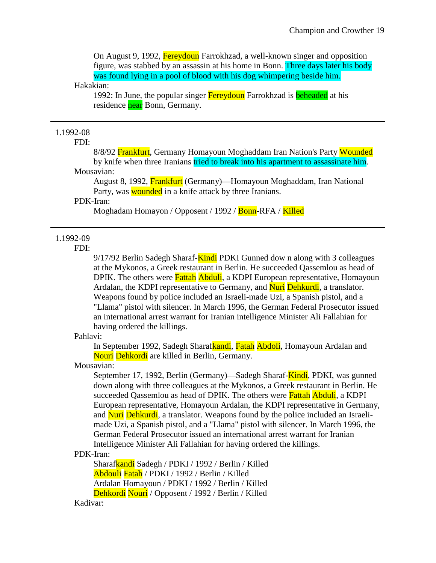On August 9, 1992, Fereydoun Farrokhzad, a well-known singer and opposition figure, was stabbed by an assassin at his home in Bonn. Three days later his body was found lying in a pool of blood with his dog whimpering beside him.

#### Hakakian:

1992: In June, the popular singer Fereydoun Farrokhzad is beheaded at his residence near Bonn, Germany.

## 1.1992-08

## FDI:

8/8/92 Frankfurt, Germany Homayoun Moghaddam Iran Nation's Party Wounded by knife when three Iranians tried to break into his apartment to assassinate him. Mousavian:

August 8, 1992, Frankfurt (Germany)—Homayoun Moghaddam, Iran National Party, was **wounded** in a knife attack by three Iranians.

## PDK-Iran:

Moghadam Homayon / Opposent / 1992 / Bonn-RFA / Killed

## 1.1992-09

FDI:

9/17/92 Berlin Sadegh Sharaf-Kindi PDKI Gunned down along with 3 colleagues at the Mykonos, a Greek restaurant in Berlin. He succeeded Qassemlou as head of DPIK. The others were **Fattah Abduli**, a KDPI European representative, Homayoun Ardalan, the KDPI representative to Germany, and Nuri Dehkurdi, a translator. Weapons found by police included an Israeli-made Uzi, a Spanish pistol, and a "Llama" pistol with silencer. In March 1996, the German Federal Prosecutor issued an international arrest warrant for Iranian intelligence Minister Ali Fallahian for having ordered the killings.

#### Pahlavi:

In September 1992, Sadegh Sharafkandi, Fatah Abdoli, Homayoun Ardalan and Nouri Dehkordi are killed in Berlin, Germany.

## Mousavian:

September 17, 1992, Berlin (Germany)—Sadegh Sharaf-Kindi, PDKI, was gunned down along with three colleagues at the Mykonos, a Greek restaurant in Berlin. He succeeded Qassemlou as head of DPIK. The others were **Fattah Abduli**, a KDPI European representative, Homayoun Ardalan, the KDPI representative in Germany, and Nuri Dehkurdi, a translator. Weapons found by the police included an Israelimade Uzi, a Spanish pistol, and a "Llama" pistol with silencer. In March 1996, the German Federal Prosecutor issued an international arrest warrant for Iranian Intelligence Minister Ali Fallahian for having ordered the killings.

## PDK-Iran:

Sharafkandi Sadegh / PDKI / 1992 / Berlin / Killed Abdouli Fatah / PDKI / 1992 / Berlin / Killed Ardalan Homayoun / PDKI / 1992 / Berlin / Killed Dehkordi Nouri / Opposent / 1992 / Berlin / Killed

#### Kadivar: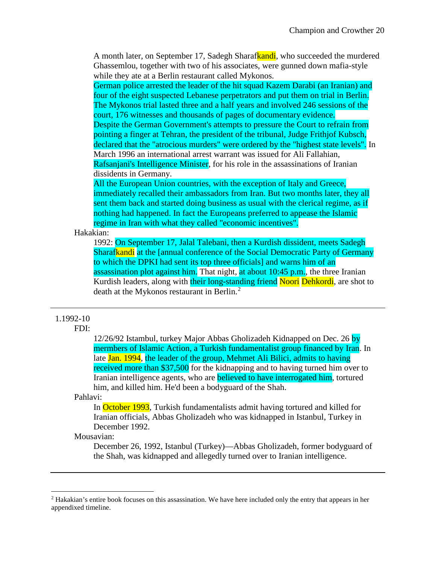A month later, on September 17, Sadegh Sharafkandi, who succeeded the murdered Ghassemlou, together with two of his associates, were gunned down mafia-style while they ate at a Berlin restaurant called Mykonos.

German police arrested the leader of the hit squad Kazem Darabi (an Iranian) and four of the eight suspected Lebanese perpetrators and put them on trial in Berlin. The Mykonos trial lasted three and a half years and involved 246 sessions of the court, 176 witnesses and thousands of pages of documentary evidence. Despite the German Government's attempts to pressure the Court to refrain from pointing a finger at Tehran, the president of the tribunal, Judge Frithjof Kubsch, declared that the "atrocious murders" were ordered by the "highest state levels". In March 1996 an international arrest warrant was issued for Ali Fallahian, Rafsanjani's Intelligence Minister, for his role in the assassinations of Iranian

dissidents in Germany.

All the European Union countries, with the exception of Italy and Greece, immediately recalled their ambassadors from Iran. But two months later, they all sent them back and started doing business as usual with the clerical regime, as if nothing had happened. In fact the Europeans preferred to appease the Islamic regime in Iran with what they called "economic incentives".

## Hakakian:

1992: On September 17, Jalal Talebani, then a Kurdish dissident, meets Sadegh Sharafkandi at the [annual conference of the Social Democratic Party of Germany to which the DPKI had sent its top three officials] and warns him of an assassination plot against him. That night, at about 10:45 p.m., the three Iranian Kurdish leaders, along with their long-standing friend Noori Dehkordi, are shot to death at the Mykonos restaurant in Berlin.[2](#page-20-0)

## 1.1992-10

#### FDI:

12/26/92 Istambul, turkey Major Abbas Gholizadeh Kidnapped on Dec. 26 by mermbers of Islamic Action, a Turkish fundamentalist group financed by Iran. In late Jan. 1994, the leader of the group, Mehmet Ali Bilici, admits to having received more than \$37,500 for the kidnapping and to having turned him over to Iranian intelligence agents, who are believed to have interrogated him, tortured him, and killed him. He'd been a bodyguard of the Shah.

#### Pahlavi:

In October 1993, Turkish fundamentalists admit having tortured and killed for Iranian officials, Abbas Gholizadeh who was kidnapped in Istanbul, Turkey in December 1992.

#### Mousavian:

l

December 26, 1992, Istanbul (Turkey)—Abbas Gholizadeh, former bodyguard of the Shah, was kidnapped and allegedly turned over to Iranian intelligence.

<span id="page-20-0"></span> $<sup>2</sup>$  Hakakian's entire book focuses on this assassination. We have here included only the entry that appears in her</sup> appendixed timeline.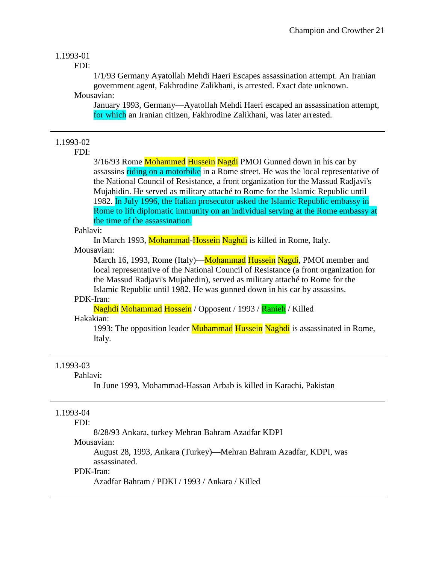## 1.1993-01

FDI:

1/1/93 Germany Ayatollah Mehdi Haeri Escapes assassination attempt. An Iranian government agent, Fakhrodine Zalikhani, is arrested. Exact date unknown.

Mousavian:

January 1993, Germany—Ayatollah Mehdi Haeri escaped an assassination attempt, for which an Iranian citizen, Fakhrodine Zalikhani, was later arrested.

## 1.1993-02

FDI:

3/16/93 Rome Mohammed Hussein Nagdi PMOI Gunned down in his car by assassins riding on a motorbike in a Rome street. He was the local representative of the National Council of Resistance, a front organization for the Massud Radjavi's Mujahidin. He served as military attaché to Rome for the Islamic Republic until 1982. In July 1996, the Italian prosecutor asked the Islamic Republic embassy in Rome to lift diplomatic immunity on an individual serving at the Rome embassy at the time of the assassination.

Pahlavi:

In March 1993, Mohammad-Hossein Naghdi is killed in Rome, Italy. Mousavian:

March 16, 1993, Rome (Italy)—**Mohammad Hussein Nagdi**, PMOI member and local representative of the National Council of Resistance (a front organization for the Massud Radjavi's Mujahedin), served as military attaché to Rome for the Islamic Republic until 1982. He was gunned down in his car by assassins.

#### PDK-Iran:

Naghdi Mohammad Hossein / Opposent / 1993 / Ranieh / Killed

## Hakakian:

1993: The opposition leader Muhammad Hussein Naghdi is assassinated in Rome, Italy.

#### 1.1993-03

#### Pahlavi:

In June 1993, Mohammad-Hassan Arbab is killed in Karachi, Pakistan

## 1.1993-04

#### FDI:

8/28/93 Ankara, turkey Mehran Bahram Azadfar KDPI

Mousavian:

August 28, 1993, Ankara (Turkey)—Mehran Bahram Azadfar, KDPI, was assassinated.

#### PDK-Iran:

Azadfar Bahram / PDKI / 1993 / Ankara / Killed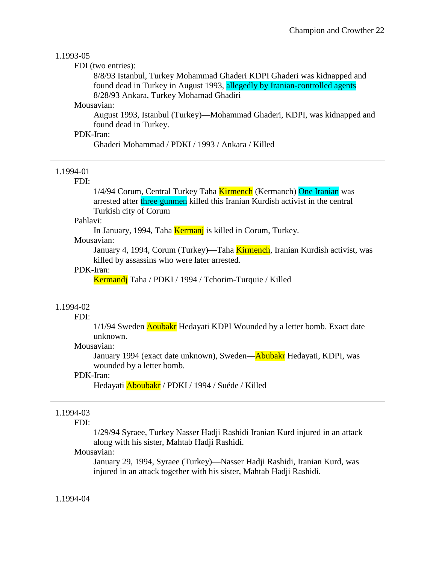#### 1.1993-05

FDI (two entries):

8/8/93 Istanbul, Turkey Mohammad Ghaderi KDPI Ghaderi was kidnapped and found dead in Turkey in August 1993, allegedly by Iranian-controlled agents 8/28/93 Ankara, Turkey Mohamad Ghadiri

## Mousavian:

August 1993, Istanbul (Turkey)—Mohammad Ghaderi, KDPI, was kidnapped and found dead in Turkey.

## PDK-Iran:

Ghaderi Mohammad / PDKI / 1993 / Ankara / Killed

## 1.1994-01

FDI:

1/4/94 Corum, Central Turkey Taha Kirmench (Kermanch) One Iranian was arrested after three gunmen killed this Iranian Kurdish activist in the central Turkish city of Corum

#### Pahlavi:

In January, 1994, Taha Kermanj is killed in Corum, Turkey.

#### Mousavian:

January 4, 1994, Corum (Turkey)—Taha Kirmench, Iranian Kurdish activist, was killed by assassins who were later arrested.

## PDK-Iran:

Kermandj Taha / PDKI / 1994 / Tchorim-Turquie / Killed

## 1.1994-02

FDI:

1/1/94 Sweden **Aoubakr** Hedayati KDPI Wounded by a letter bomb. Exact date unknown.

#### Mousavian:

January 1994 (exact date unknown), Sweden—Abubakr Hedayati, KDPI, was wounded by a letter bomb.

## PDK-Iran:

Hedayati Aboubakr / PDKI / 1994 / Suéde / Killed

## 1.1994-03

#### FDI:

1/29/94 Syraee, Turkey Nasser Hadji Rashidi Iranian Kurd injured in an attack along with his sister, Mahtab Hadji Rashidi.

#### Mousavian:

January 29, 1994, Syraee (Turkey)—Nasser Hadji Rashidi, Iranian Kurd, was injured in an attack together with his sister, Mahtab Hadji Rashidi.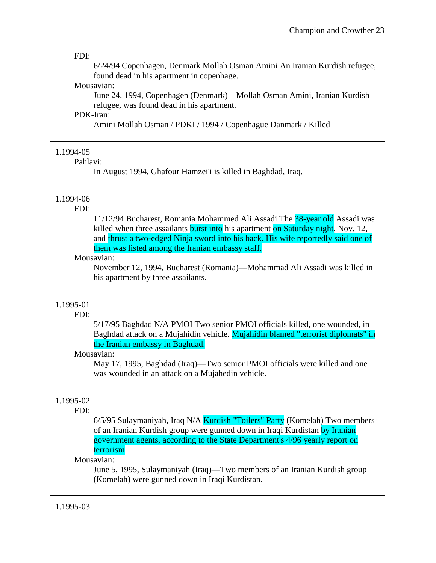#### FDI:

6/24/94 Copenhagen, Denmark Mollah Osman Amini An Iranian Kurdish refugee, found dead in his apartment in copenhage.

## Mousavian:

June 24, 1994, Copenhagen (Denmark)—Mollah Osman Amini, Iranian Kurdish refugee, was found dead in his apartment.

#### PDK-Iran:

Amini Mollah Osman / PDKI / 1994 / Copenhague Danmark / Killed

#### 1.1994-05

#### Pahlavi:

In August 1994, Ghafour Hamzei'i is killed in Baghdad, Iraq.

## 1.1994-06

#### FDI:

11/12/94 Bucharest, Romania Mohammed Ali Assadi The 38-year old Assadi was killed when three assailants burst into his apartment on Saturday night, Nov. 12, and thrust a two-edged Ninja sword into his back. His wife reportedly said one of them was listed among the Iranian embassy staff.

#### Mousavian:

November 12, 1994, Bucharest (Romania)—Mohammad Ali Assadi was killed in his apartment by three assailants.

## 1.1995-01

#### FDI:

5/17/95 Baghdad N/A PMOI Two senior PMOI officials killed, one wounded, in Baghdad attack on a Mujahidin vehicle. Mujahidin blamed "terrorist diplomats" in the Iranian embassy in Baghdad.

#### Mousavian:

May 17, 1995, Baghdad (Iraq)—Two senior PMOI officials were killed and one was wounded in an attack on a Mujahedin vehicle.

## 1.1995-02

## FDI:

6/5/95 Sulaymaniyah, Iraq N/A Kurdish "Toilers" Party (Komelah) Two members of an Iranian Kurdish group were gunned down in Iraqi Kurdistan by Iranian government agents, according to the State Department's 4/96 yearly report on terrorism

#### Mousavian:

June 5, 1995, Sulaymaniyah (Iraq)—Two members of an Iranian Kurdish group (Komelah) were gunned down in Iraqi Kurdistan.

## 1.1995-03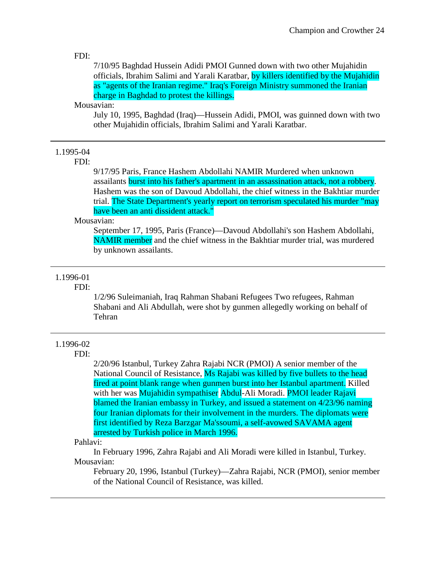#### FDI:

7/10/95 Baghdad Hussein Adidi PMOI Gunned down with two other Mujahidin officials, Ibrahim Salimi and Yarali Karatbar, by killers identified by the Mujahidin as "agents of the Iranian regime." Iraq's Foreign Ministry summoned the Iranian charge in Baghdad to protest the killings.

## Mousavian:

July 10, 1995, Baghdad (Iraq)—Hussein Adidi, PMOI, was guinned down with two other Mujahidin officials, Ibrahim Salimi and Yarali Karatbar.

#### 1.1995-04

FDI:

9/17/95 Paris, France Hashem Abdollahi NAMIR Murdered when unknown assailants burst into his father's apartment in an assassination attack, not a robbery. Hashem was the son of Davoud Abdollahi, the chief witness in the Bakhtiar murder trial. The State Department's yearly report on terrorism speculated his murder "may have been an anti dissident attack."

## Mousavian:

September 17, 1995, Paris (France)—Davoud Abdollahi's son Hashem Abdollahi, NAMIR member and the chief witness in the Bakhtiar murder trial, was murdered by unknown assailants.

## 1.1996-01

#### FDI:

1/2/96 Suleimaniah, Iraq Rahman Shabani Refugees Two refugees, Rahman Shabani and Ali Abdullah, were shot by gunmen allegedly working on behalf of Tehran

## 1.1996-02

#### FDI:

2/20/96 Istanbul, Turkey Zahra Rajabi NCR (PMOI) A senior member of the National Council of Resistance, Ms Rajabi was killed by five bullets to the head fired at point blank range when gunmen burst into her Istanbul apartment. Killed with her was Mujahidin sympathiser Abdul-Ali Moradi. PMOI leader Rajavi blamed the Iranian embassy in Turkey, and issued a statement on 4/23/96 naming four Iranian diplomats for their involvement in the murders. The diplomats were first identified by Reza Barzgar Ma'ssoumi, a self-avowed SAVAMA agent arrested by Turkish police in March 1996.

#### Pahlavi:

In February 1996, Zahra Rajabi and Ali Moradi were killed in Istanbul, Turkey. Mousavian:

February 20, 1996, Istanbul (Turkey)—Zahra Rajabi, NCR (PMOI), senior member of the National Council of Resistance, was killed.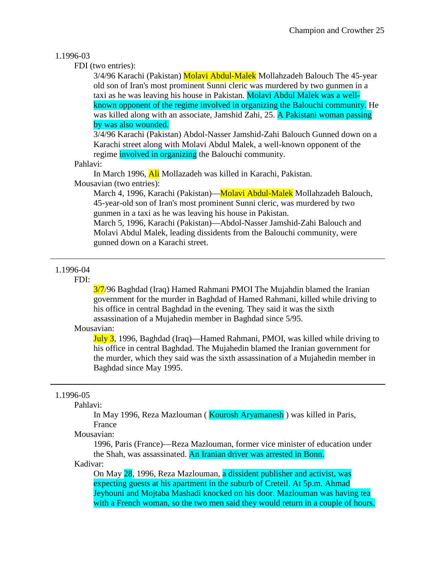## 1.1996-03

FDI (two entries):

3/4/96 Karachi (Pakistan) Molavi Abdul-Malek Mollahzadeh Balouch The 45-year old son of Iran's most prominent Sunni cleric was murdered by two gunmen in a taxi as he was leaving his house in Pakistan. Molavi Abdul Malek was a wellknown opponent of the regime involved in organizing the Balouchi community. He was killed along with an associate, Jamshid Zahi, 25. A Pakistani woman passing by was also wounded.

3/4/96 Karachi (Pakistan) Abdol-Nasser Jamshid-Zahi Balouch Gunned down on a Karachi street along with Molavi Abdul Malek, a well-known opponent of the regime involved in organizing the Balouchi community.

## Pahlavi:

In March 1996, Ali Mollazadeh was killed in Karachi, Pakistan.

Mousavian (two entries):

March 4, 1996, Karachi (Pakistan)—Molavi Abdul-Malek Mollahzadeh Balouch, 45-year-old son of Iran's most prominent Sunni cleric, was murdered by two gunmen in a taxi as he was leaving his house in Pakistan.

March 5, 1996, Karachi (Pakistan)—Abdol-Nasser Jamshid-Zahi Balouch and Molavi Abdul Malek, leading dissidents from the Balouchi community, were gunned down on a Karachi street.

## 1.1996-04

## FDI:

3/7/96 Baghdad (Iraq) Hamed Rahmani PMOI The Mujahdin blamed the Iranian government for the murder in Baghdad of Hamed Rahmani, killed while driving to his office in central Baghdad in the evening. They said it was the sixth assassination of a Mujahedin member in Baghdad since 5/95.

## Mousavian:

July 3, 1996, Baghdad (Iraq)—Hamed Rahmani, PMOI, was killed while driving to his office in central Baghdad. The Mujahedin blamed the Iranian government for the murder, which they said was the sixth assassination of a Mujahedin member in Baghdad since May 1995.

## 1.1996-05

Pahlavi:

In May 1996, Reza Mazlouman ( Kourosh Aryamanesh ) was killed in Paris, France

Mousavian:

1996, Paris (France)—Reza Mazlouman, former vice minister of education under the Shah, was assassinated. An Iranian driver was arrested in Bonn.

Kadivar:

On May 28, 1996, Reza Mazlouman, a dissident publisher and activist, was expecting guests at his apartment in the suburb of Creteil. At 5p.m. Ahmad Jeyhouni and Mojtaba Mashadi knocked on his door. Mazlouman was having tea with a French woman, so the two men said they would return in a couple of hours.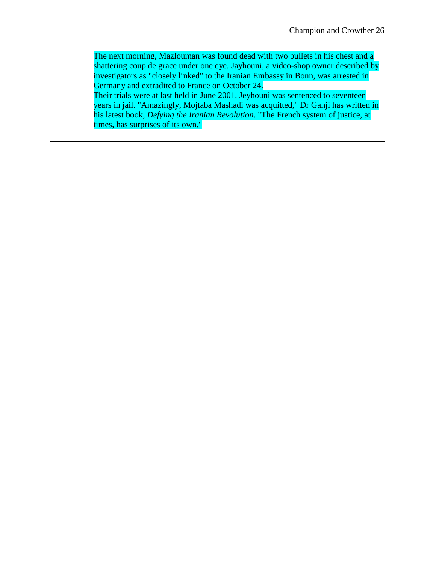The next morning, Mazlouman was found dead with two bullets in his chest and a shattering coup de grace under one eye. Jayhouni, a video-shop owner described by investigators as "closely linked" to the Iranian Embassy in Bonn, was arrested in Germany and extradited to France on October 24.

Their trials were at last held in June 2001. Jeyhouni was sentenced to seventeen years in jail. "Amazingly, Mojtaba Mashadi was acquitted," Dr Ganji has written in his latest book, *Defying the Iranian Revolution*. "The French system of justice, at times, has surprises of its own."